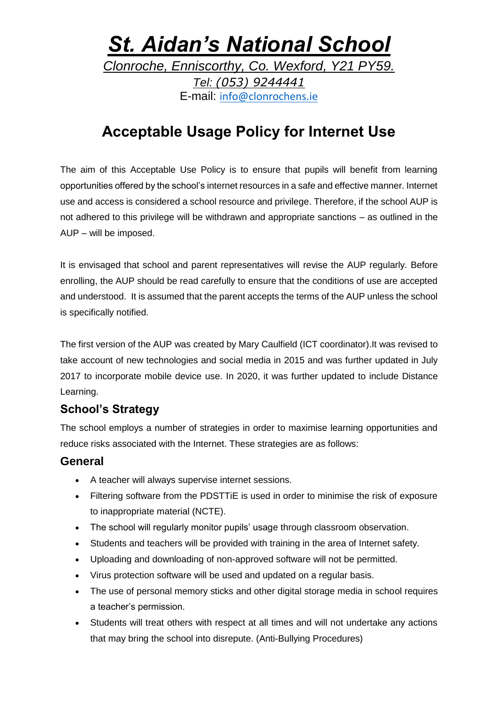### *St. Aidan's National School Clonroche, Enniscorthy, Co. Wexford, Y21 PY59. Tel: (053) 9244441* E-mail: [info@clonrochens.ie](mailto:info@clonrochens.ie)

### **Acceptable Usage Policy for Internet Use**

The aim of this Acceptable Use Policy is to ensure that pupils will benefit from learning opportunities offered by the school's internet resources in a safe and effective manner. Internet use and access is considered a school resource and privilege. Therefore, if the school AUP is not adhered to this privilege will be withdrawn and appropriate sanctions – as outlined in the AUP – will be imposed.

It is envisaged that school and parent representatives will revise the AUP regularly. Before enrolling, the AUP should be read carefully to ensure that the conditions of use are accepted and understood. It is assumed that the parent accepts the terms of the AUP unless the school is specifically notified.

The first version of the AUP was created by Mary Caulfield (ICT coordinator).It was revised to take account of new technologies and social media in 2015 and was further updated in July 2017 to incorporate mobile device use. In 2020, it was further updated to include Distance Learning.

### **School's Strategy**

The school employs a number of strategies in order to maximise learning opportunities and reduce risks associated with the Internet. These strategies are as follows:

### **General**

- A teacher will always supervise internet sessions.
- Filtering software from the PDSTTiE is used in order to minimise the risk of exposure to inappropriate material (NCTE).
- The school will regularly monitor pupils' usage through classroom observation.
- Students and teachers will be provided with training in the area of Internet safety.
- Uploading and downloading of non-approved software will not be permitted.
- Virus protection software will be used and updated on a regular basis.
- The use of personal memory sticks and other digital storage media in school requires a teacher's permission.
- Students will treat others with respect at all times and will not undertake any actions that may bring the school into disrepute. (Anti-Bullying Procedures)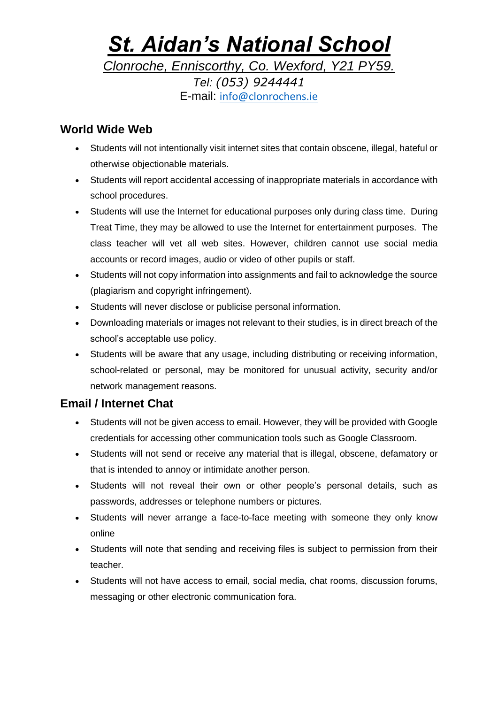## *St. Aidan's National School Clonroche, Enniscorthy, Co. Wexford, Y21 PY59.*

*Tel: (053) 9244441* E-mail: [info@clonrochens.ie](mailto:info@clonrochens.ie)

### **World Wide Web**

- Students will not intentionally visit internet sites that contain obscene, illegal, hateful or otherwise objectionable materials.
- Students will report accidental accessing of inappropriate materials in accordance with school procedures.
- Students will use the Internet for educational purposes only during class time. During Treat Time, they may be allowed to use the Internet for entertainment purposes. The class teacher will vet all web sites. However, children cannot use social media accounts or record images, audio or video of other pupils or staff.
- Students will not copy information into assignments and fail to acknowledge the source (plagiarism and copyright infringement).
- Students will never disclose or publicise personal information.
- Downloading materials or images not relevant to their studies, is in direct breach of the school's acceptable use policy.
- Students will be aware that any usage, including distributing or receiving information, school-related or personal, may be monitored for unusual activity, security and/or network management reasons.

### **Email / Internet Chat**

- Students will not be given access to email. However, they will be provided with Google credentials for accessing other communication tools such as Google Classroom.
- Students will not send or receive any material that is illegal, obscene, defamatory or that is intended to annoy or intimidate another person.
- Students will not reveal their own or other people's personal details, such as passwords, addresses or telephone numbers or pictures.
- Students will never arrange a face-to-face meeting with someone they only know online
- Students will note that sending and receiving files is subject to permission from their teacher.
- Students will not have access to email, social media, chat rooms, discussion forums, messaging or other electronic communication fora.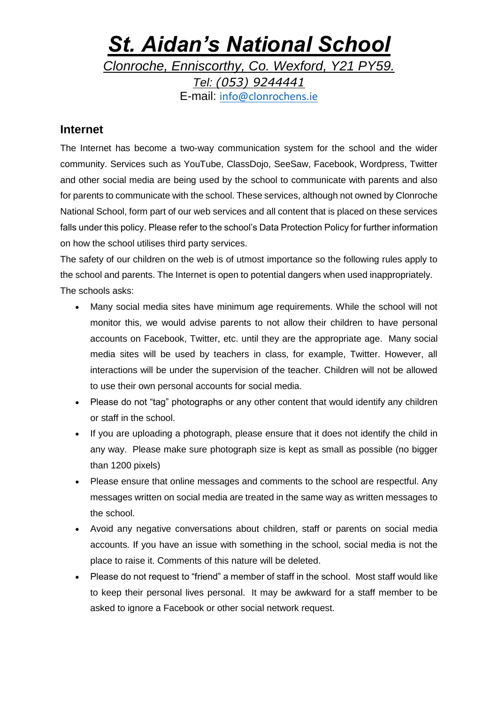# *St. Aidan's National School*

*Clonroche, Enniscorthy, Co. Wexford, Y21 PY59. Tel: (053) 9244441*

E-mail: [info@clonrochens.ie](mailto:info@clonrochens.ie)

#### **Internet**

The Internet has become a two-way communication system for the school and the wider community. Services such as YouTube, ClassDojo, SeeSaw, Facebook, Wordpress, Twitter and other social media are being used by the school to communicate with parents and also for parents to communicate with the school. These services, although not owned by Clonroche National School, form part of our web services and all content that is placed on these services falls under this policy. Please refer to the school's Data Protection Policy for further information on how the school utilises third party services.

The safety of our children on the web is of utmost importance so the following rules apply to the school and parents. The Internet is open to potential dangers when used inappropriately. The schools asks:

- Many social media sites have minimum age requirements. While the school will not monitor this, we would advise parents to not allow their children to have personal accounts on Facebook, Twitter, etc. until they are the appropriate age. Many social media sites will be used by teachers in class, for example, Twitter. However, all interactions will be under the supervision of the teacher. Children will not be allowed to use their own personal accounts for social media.
- Please do not "tag" photographs or any other content that would identify any children or staff in the school.
- If you are uploading a photograph, please ensure that it does not identify the child in any way. Please make sure photograph size is kept as small as possible (no bigger than 1200 pixels)
- Please ensure that online messages and comments to the school are respectful. Any messages written on social media are treated in the same way as written messages to the school.
- Avoid any negative conversations about children, staff or parents on social media accounts. If you have an issue with something in the school, social media is not the place to raise it. Comments of this nature will be deleted.
- Please do not request to "friend" a member of staff in the school. Most staff would like to keep their personal lives personal. It may be awkward for a staff member to be asked to ignore a Facebook or other social network request.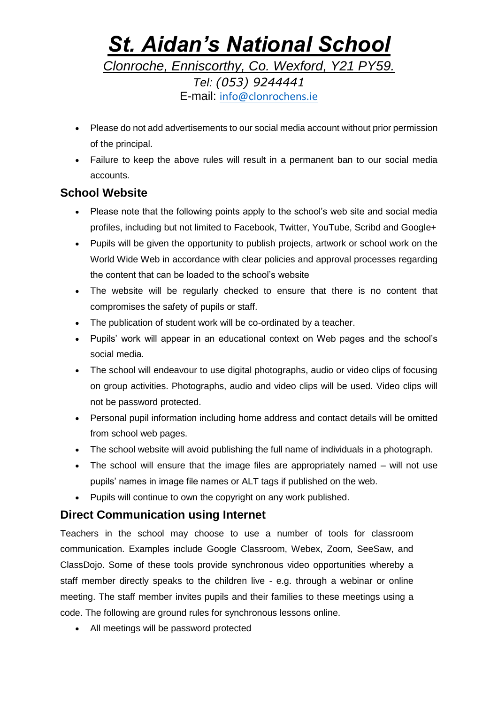### *St. Aidan's National School Clonroche, Enniscorthy, Co. Wexford, Y21 PY59. Tel: (053) 9244441* E-mail: [info@clonrochens.ie](mailto:info@clonrochens.ie)

- Please do not add advertisements to our social media account without prior permission of the principal.
- Failure to keep the above rules will result in a permanent ban to our social media accounts.

### **School Website**

- Please note that the following points apply to the school's web site and social media profiles, including but not limited to Facebook, Twitter, YouTube, Scribd and Google+
- Pupils will be given the opportunity to publish projects, artwork or school work on the World Wide Web in accordance with clear policies and approval processes regarding the content that can be loaded to the school's website
- The website will be regularly checked to ensure that there is no content that compromises the safety of pupils or staff.
- The publication of student work will be co-ordinated by a teacher.
- Pupils' work will appear in an educational context on Web pages and the school's social media.
- The school will endeavour to use digital photographs, audio or video clips of focusing on group activities. Photographs, audio and video clips will be used. Video clips will not be password protected.
- Personal pupil information including home address and contact details will be omitted from school web pages.
- The school website will avoid publishing the full name of individuals in a photograph.
- The school will ensure that the image files are appropriately named will not use pupils' names in image file names or ALT tags if published on the web.
- Pupils will continue to own the copyright on any work published.

### **Direct Communication using Internet**

Teachers in the school may choose to use a number of tools for classroom communication. Examples include Google Classroom, Webex, Zoom, SeeSaw, and ClassDojo. Some of these tools provide synchronous video opportunities whereby a staff member directly speaks to the children live - e.g. through a webinar or online meeting. The staff member invites pupils and their families to these meetings using a code. The following are ground rules for synchronous lessons online.

All meetings will be password protected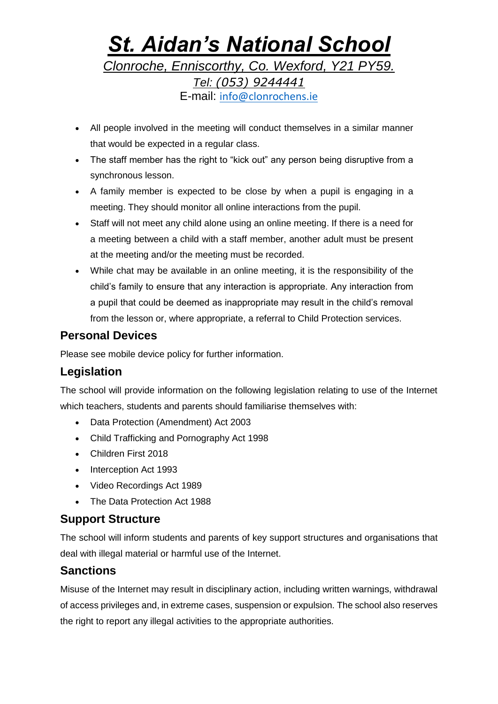### *St. Aidan's National School Clonroche, Enniscorthy, Co. Wexford, Y21 PY59. Tel: (053) 9244441* E-mail: [info@clonrochens.ie](mailto:info@clonrochens.ie)

- All people involved in the meeting will conduct themselves in a similar manner that would be expected in a regular class.
- The staff member has the right to "kick out" any person being disruptive from a synchronous lesson.
- A family member is expected to be close by when a pupil is engaging in a meeting. They should monitor all online interactions from the pupil.
- Staff will not meet any child alone using an online meeting. If there is a need for a meeting between a child with a staff member, another adult must be present at the meeting and/or the meeting must be recorded.
- While chat may be available in an online meeting, it is the responsibility of the child's family to ensure that any interaction is appropriate. Any interaction from a pupil that could be deemed as inappropriate may result in the child's removal from the lesson or, where appropriate, a referral to Child Protection services.

### **Personal Devices**

Please see mobile device policy for further information.

### **Legislation**

The school will provide information on the following legislation relating to use of the Internet which teachers, students and parents should familiarise themselves with:

- Data Protection (Amendment) Act 2003
- Child Trafficking and Pornography Act 1998
- Children First 2018
- Interception Act 1993
- Video Recordings Act 1989
- The Data Protection Act 1988

### **Support Structure**

The school will inform students and parents of key support structures and organisations that deal with illegal material or harmful use of the Internet.

### **Sanctions**

Misuse of the Internet may result in disciplinary action, including written warnings, withdrawal of access privileges and, in extreme cases, suspension or expulsion. The school also reserves the right to report any illegal activities to the appropriate authorities.